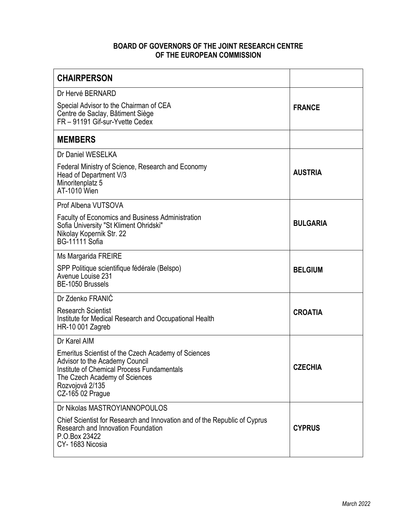## **BOARD OF GOVERNORS OF THE JOINT RESEARCH CENTRE OF THE EUROPEAN COMMISSION**

| <b>CHAIRPERSON</b>                                                                                                                                                                                          |                 |
|-------------------------------------------------------------------------------------------------------------------------------------------------------------------------------------------------------------|-----------------|
| Dr Hervé BERNARD<br>Special Advisor to the Chairman of CEA<br>Centre de Saclay, Bâtiment Siège<br>FR - 91191 Gif-sur-Yvette Cedex                                                                           | <b>FRANCE</b>   |
| <b>MEMBERS</b>                                                                                                                                                                                              |                 |
| Dr Daniel WESELKA<br>Federal Ministry of Science, Research and Economy<br>Head of Department V/3<br>Minoritenplatz 5<br><b>AT-1010 Wien</b>                                                                 | <b>AUSTRIA</b>  |
| Prof Albena VUTSOVA                                                                                                                                                                                         |                 |
| <b>Faculty of Economics and Business Administration</b><br>Sofia University "St Kliment Ohridski"<br>Nikolay Kopernik Str. 22<br><b>BG-11111 Sofia</b>                                                      | <b>BULGARIA</b> |
| Ms Margarida FREIRE                                                                                                                                                                                         |                 |
| SPP Politique scientifique fédérale (Belspo)<br>Avenue Louise 231<br>BE-1050 Brussels                                                                                                                       | <b>BELGIUM</b>  |
| Dr Zdenko FRANIĆ                                                                                                                                                                                            |                 |
| <b>Research Scientist</b><br>Institute for Medical Research and Occupational Health<br>HR-10 001 Zagreb                                                                                                     | <b>CROATIA</b>  |
| Dr Karel AIM                                                                                                                                                                                                |                 |
| Emeritus Scientist of the Czech Academy of Sciences<br>Advisor to the Academy Council<br>Institute of Chemical Process Fundamentals<br>The Czech Academy of Sciences<br>Rozvojová 2/135<br>CZ-165 02 Prague | <b>CZECHIA</b>  |
| Dr Nikolas MASTROYIANNOPOULOS                                                                                                                                                                               |                 |
| Chief Scientist for Research and Innovation and of the Republic of Cyprus<br>Research and Innovation Foundation<br>P.O.Box 23422<br>CY-1683 Nicosia                                                         | <b>CYPRUS</b>   |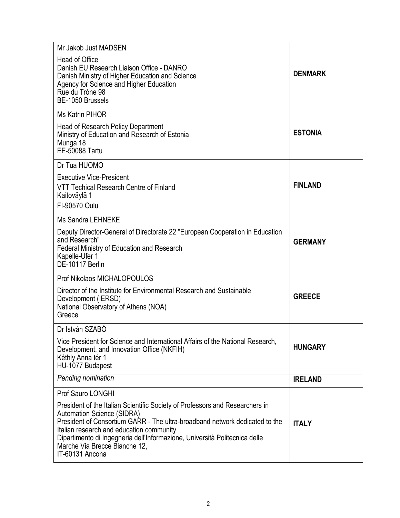| Mr Jakob Just MADSEN                                                                                                                                                                                                                                                                                                                                                           |                |
|--------------------------------------------------------------------------------------------------------------------------------------------------------------------------------------------------------------------------------------------------------------------------------------------------------------------------------------------------------------------------------|----------------|
| <b>Head of Office</b><br>Danish EU Research Liaison Office - DANRO<br>Danish Ministry of Higher Education and Science<br>Agency for Science and Higher Education<br>Rue du Trône 98<br>BE-1050 Brussels                                                                                                                                                                        | <b>DENMARK</b> |
| <b>Ms Katrin PIHOR</b>                                                                                                                                                                                                                                                                                                                                                         |                |
| Head of Research Policy Department<br>Ministry of Education and Research of Estonia<br>Munga 18<br><b>EE-50088 Tartu</b>                                                                                                                                                                                                                                                       | <b>ESTONIA</b> |
| Dr Tua HUOMO                                                                                                                                                                                                                                                                                                                                                                   |                |
| <b>Executive Vice-President</b><br>VTT Techical Research Centre of Finland<br>Kaitoväylä 1<br>FI-90570 Oulu                                                                                                                                                                                                                                                                    | <b>FINLAND</b> |
| <b>Ms Sandra LEHNEKE</b>                                                                                                                                                                                                                                                                                                                                                       |                |
| Deputy Director-General of Directorate 22 "European Cooperation in Education<br>and Research"<br><b>Federal Ministry of Education and Research</b><br>Kapelle-Ufer 1<br>DE-10117 Berlin                                                                                                                                                                                        | <b>GERMANY</b> |
| Prof Nikolaos MICHALOPOULOS                                                                                                                                                                                                                                                                                                                                                    |                |
| Director of the Institute for Environmental Research and Sustainable<br>Development (IERSD)<br>National Observatory of Athens (NOA)<br>Greece                                                                                                                                                                                                                                  | <b>GREECE</b>  |
| Dr István SZABÓ                                                                                                                                                                                                                                                                                                                                                                |                |
| Vice President for Science and International Affairs of the National Research,<br>Development, and Innovation Office (NKFIH)<br>Kéthly Anna tér 1<br>HU-1077 Budapest                                                                                                                                                                                                          | <b>HUNGARY</b> |
| Pending nomination                                                                                                                                                                                                                                                                                                                                                             | <b>IRELAND</b> |
| Prof Sauro LONGHI                                                                                                                                                                                                                                                                                                                                                              |                |
| President of the Italian Scientific Society of Professors and Researchers in<br><b>Automation Science (SIDRA)</b><br>President of Consortium GARR - The ultra-broadband network dedicated to the<br>Italian research and education community<br>Dipartimento di Ingegneria dell'Informazione, Università Politecnica delle<br>Marche Via Brecce Bianche 12,<br>IT-60131 Ancona | <b>ITALY</b>   |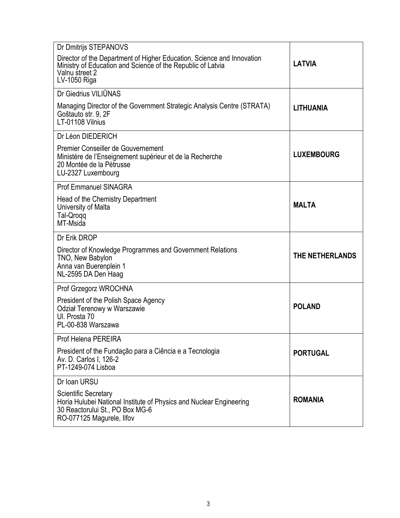| Dr Dmitrijs STEPANOVS                                                                                                                                                   |                   |
|-------------------------------------------------------------------------------------------------------------------------------------------------------------------------|-------------------|
| Director of the Department of Higher Education, Science and Innovation<br>Ministry of Education and Science of the Republic of Latvia<br>Valnu street 2<br>LV-1050 Riga | <b>LATVIA</b>     |
| Dr Giedrius VILIŪNAS                                                                                                                                                    |                   |
| Managing Director of the Government Strategic Analysis Centre (STRATA)<br>Goštauto str. 9, 2F<br>LT-01108 Vilnius                                                       | <b>LITHUANIA</b>  |
| Dr Léon DIEDERICH                                                                                                                                                       |                   |
| Premier Conseiller de Gouvernement<br>Ministère de l'Enseignement supérieur et de la Recherche<br>20 Montée de la Pétrusse<br>LU-2327 Luxembourg                        | <b>LUXEMBOURG</b> |
| <b>Prof Emmanuel SINAGRA</b>                                                                                                                                            |                   |
| Head of the Chemistry Department<br>University of Malta<br>Tal-Qrogg<br>MT-Msida                                                                                        | <b>MALTA</b>      |
| Dr Erik DROP                                                                                                                                                            |                   |
| Director of Knowledge Programmes and Government Relations<br>TNO, New Babylon<br>Anna van Buerenplein 1<br>NL-2595 DA Den Haag                                          | THE NETHERLANDS   |
| Prof Grzegorz WROCHNA                                                                                                                                                   |                   |
| President of the Polish Space Agency<br>Odział Terenowy w Warszawie<br>UI. Prosta 70<br>PL-00-838 Warszawa                                                              | <b>POLAND</b>     |
| Prof Helena PEREIRA                                                                                                                                                     |                   |
| President of the Fundação para a Ciência e a Tecnologia<br>Av. D. Carlos I, 126-2<br>PT-1249-074 Lisboa                                                                 | <b>PORTUGAL</b>   |
| Dr Ioan URSU                                                                                                                                                            |                   |
| <b>Scientific Secretary</b><br>Horia Hulubei National Institute of Physics and Nuclear Engineering<br>30 Reactorului St., PO Box MG-6<br>RO-077125 Magurele, Ilfov      | <b>ROMANIA</b>    |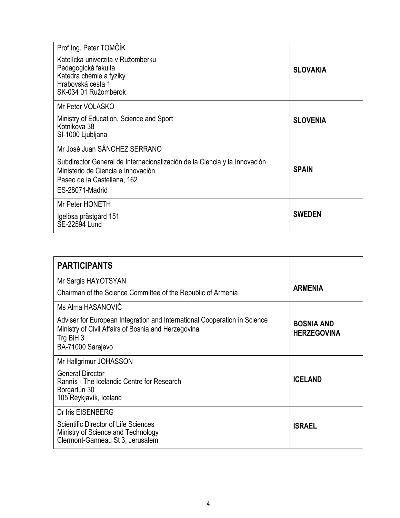| Prof Ing. Peter TOMČÍK<br>Katolícka univerzita v Ružomberku<br>Pedagogická fakulta<br>Katedra chémie a fyziky<br>Hrabovská cesta 1<br>SK-034 01 Ružomberok        | <b>SLOVAKIA</b> |
|-------------------------------------------------------------------------------------------------------------------------------------------------------------------|-----------------|
| Mr Peter VOLASKO                                                                                                                                                  |                 |
| Ministry of Education, Science and Sport<br>Kotnikova 38<br>SI-1000 Ljubljana                                                                                     | <b>SLOVENIA</b> |
| Mr José Juan SÁNCHEZ SERRANO                                                                                                                                      |                 |
| Subdirector General de Internacionalización de la Ciencia y la Innovación<br>Ministerio de Ciencia e Innovación<br>Paseo de la Castellana, 162<br>ES-28071-Madrid | <b>SPAIN</b>    |
| Mr Peter HONETH                                                                                                                                                   |                 |
| Igelösa prästgård 151<br>SE-22594 Lund                                                                                                                            | <b>SWEDEN</b>   |

| <b>PARTICIPANTS</b>                                                                                                                                                |                                         |
|--------------------------------------------------------------------------------------------------------------------------------------------------------------------|-----------------------------------------|
| Mr Sargis HAYOTSYAN                                                                                                                                                |                                         |
| Chairman of the Science Committee of the Republic of Armenia                                                                                                       | <b>ARMENIA</b>                          |
| Ms Alma HASANOVIĆ                                                                                                                                                  |                                         |
| Adviser for European Integration and International Cooperation in Science<br>Ministry of Civil Affairs of Bosnia and Herzegovina<br>Trg BiH 3<br>BA-71000 Sarajevo | <b>BOSNIA AND</b><br><b>HERZEGOVINA</b> |
| Mr Hallgrimur JOHASSON                                                                                                                                             |                                         |
| General Director<br>Rannís - The Icelandic Centre for Research<br>Borgartún 30<br>105 Reykjavík, Iceland                                                           | <b>ICELAND</b>                          |
| Dr Iris EISENBERG                                                                                                                                                  |                                         |
| <b>Scientific Director of Life Sciences</b><br>Ministry of Science and Technology<br>Clermont-Ganneau St 3, Jerusalem                                              | <b>ISRAEL</b>                           |